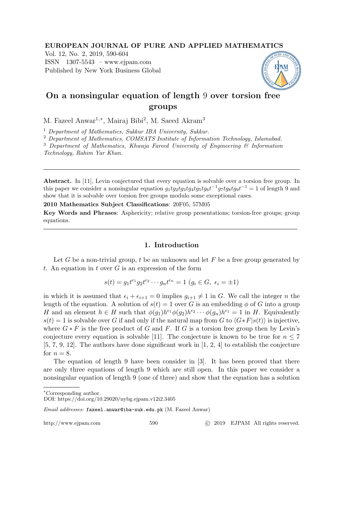#### EUROPEAN JOURNAL OF PURE AND APPLIED MATHEMATICS

Vol. 12, No. 2, 2019, 590-604 ISSN 1307-5543 – www.ejpam.com Published by New York Business Global



# On a nonsingular equation of length 9 over torsion free groups

M. Fazeel Anwar<sup>1,\*</sup>, Mairaj Bibi<sup>2</sup>, M. Saeed Akram<sup>3</sup>

<sup>1</sup> Department of Mathematics, Sukkur IBA University, Sukkur.

<sup>2</sup> Department of Mathematics, COMSATS Institute of Information Technology, Islamabad.

 $3$  Department of Mathematics, Khwaja Fareed University of Engineering  $6$  Information

Technology, Rahim Yar Khan.

Abstract. In [11], Levin conjectured that every equation is solvable over a torsion free group. In this paper we consider a nonsingular equation  $g_1tg_2tg_3tg_4tg_5tg_6t^{-1}g_7tg_8tg_9t^{-1} = 1$  of length 9 and show that it is solvable over torsion free groups modulo some exceptional cases.

2010 Mathematics Subject Classifications: 20F05, 57M05

Key Words and Phrases: Asphericity; relative group presentations; torsion-free groups; group equations.

### 1. Introduction

Let G be a non-trivial group, t be an unknown and let  $F$  be a free group generated by t. An equation in t over  $G$  is an expression of the form

$$
s(t) = g_1 t^{\epsilon_1} g_2 t^{\epsilon_2} \cdots g_n t^{\epsilon_n} = 1 \ (g_i \in G, \ \epsilon_i = \pm 1)
$$

in which it is assumed that  $\epsilon_i + \epsilon_{i+1} = 0$  implies  $g_{i+1} \neq 1$  in G. We call the integer n the length of the equation. A solution of  $s(t) = 1$  over G is an embedding  $\phi$  of G into a group H and an element  $h \in H$  such that  $\phi(g_1)h^{\epsilon_1}\phi(g_2)h^{\epsilon_2}\cdots\phi(g_n)h^{\epsilon_1} = 1$  in H. Equivalently  $s(t) = 1$  is solvable over G if and only if the natural map from G to  $\langle G * F | s(t) \rangle$  is injective, where  $G * F$  is the free product of G and F. If G is a torsion free group then by Levin's conjecture every equation is solvable [11]. The conjecture is known to be true for  $n \leq 7$ [5, 7, 9, 12]. The authors have done significant work in [1, 2, 4] to establish the conjecture for  $n = 8$ .

The equation of length 9 have been consider in [3]. It has been proved that there are only three equations of length 9 which are still open. In this paper we consider a nonsingular equation of length 9 (one of three) and show that the equation has a solution

Email addresses: fazeel.anwar@iba-suk.edu.pk (M. Fazeel Anwar)

http://www.ejpam.com 590 c 2019 EJPAM All rights reserved.

<sup>∗</sup>Corresponding author.

DOI: https://doi.org/10.29020/nybg.ejpam.v12i2.3405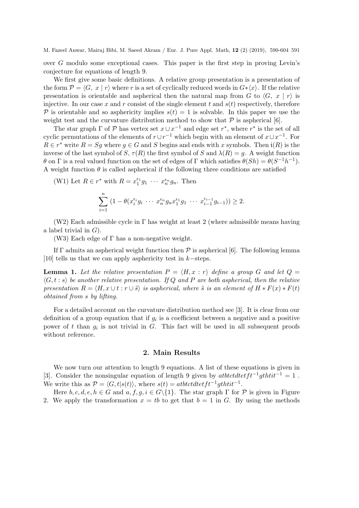over G modulo some exceptional cases. This paper is the first step in proving Levin's conjecture for equations of length 9.

We first give some basic definitions. A relative group presentation is a presentation of the form  $\mathcal{P} = \langle G, x | r \rangle$  where r is a set of cyclically reduced words in  $G*(x)$ . If the relative presentation is orientable and aspherical then the natural map from G to  $\langle G, x | r \rangle$  is injective. In our case x and r consist of the single element t and  $s(t)$  respectively, therefore P is orientable and so asphericity implies  $s(t) = 1$  is solvable. In this paper we use the weight test and the curvature distribution method to show that  $P$  is aspherical [6].

The star graph  $\Gamma$  of  $\mathcal P$  has vertex set  $x \cup x^{-1}$  and edge set  $r^*$ , where  $r^*$  is the set of all cyclic permutations of the elements of  $r \cup r^{-1}$  which begin with an element of  $x \cup x^{-1}$ . For  $R \in r^*$  write  $R = Sg$  where  $g \in G$  and S begins and ends with x symbols. Then  $\mathfrak{i}(R)$  is the inverse of the last symbol of S,  $\tau(R)$  the first symbol of S and  $\lambda(R) = q$ . A weight function θ on Γ is a real valued function on the set of edges of Γ which satisfies  $\theta(Sh) = \theta(S^{-1}h^{-1})$ . A weight function  $\theta$  is called aspherical if the following three conditions are satisfied

(W1) Let  $R \in r^*$  with  $R = x_1^{\epsilon_1} g_1 \cdots x_n^{\epsilon_n} g_n$ . Then

$$
\sum_{i=1}^{n} (1 - \theta(x_i^{\epsilon_i} g_i \cdots x_n^{\epsilon_n} g_n x_1^{\epsilon_1} g_1 \cdots x_{i-1}^{\epsilon_{i-1}} g_{i-1})) \geq 2.
$$

(W2) Each admissible cycle in  $\Gamma$  has weight at least 2 (where admissible means having a label trivial in  $G$ ).

(W3) Each edge of  $\Gamma$  has a non-negative weight.

If  $\Gamma$  admits an aspherical weight function then  $\mathcal P$  is aspherical [6]. The following lemma [10] tells us that we can apply asphericity test in k−steps.

**Lemma 1.** Let the relative presentation  $P = \langle H, x : r \rangle$  define a group G and let  $Q =$  $\langle G, t : s \rangle$  be another relative presentation. If Q and P are both aspherical, then the relative presentation  $R = \langle H, x \cup t : r \cup \tilde{s} \rangle$  is aspherical, where  $\tilde{s}$  is an element of  $H * F(x) * F(t)$ obtained from s by lifting.

For a detailed account on the curvature distribution method see [3]. It is clear from our definition of a group equation that if  $g_i$  is a coefficient between a negative and a positive power of t than  $g_i$  is not trivial in G. This fact will be used in all subsequent proofs without reference.

## 2. Main Results

We now turn our attention to length 9 equations. A list of these equations is given in [3]. Consider the nonsingular equation of length 9 given by atbtctdtetft<sup>-1</sup>gthtit<sup>-1</sup> = 1. We write this as  $\mathcal{P} = \langle G, t | s(t) \rangle$ , where  $s(t) = \text{at}b t \text{at} t t^{-1} \text{at} t t^{-1}$ .

Here  $b, c, d, e, h \in G$  and  $a, f, g, i \in G\backslash\{1\}$ . The star graph  $\Gamma$  for  $\mathcal P$  is given in Figure 2. We apply the transformation  $x = tb$  to get that  $b = 1$  in G. By using the methods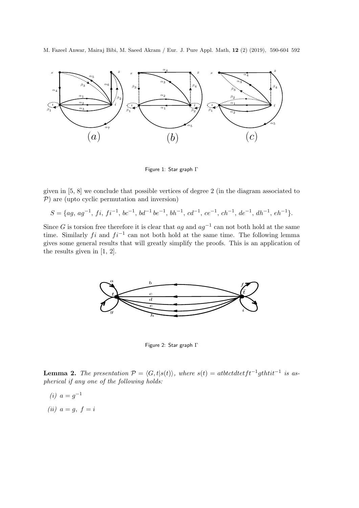

Figure 1: Star graph Γ

given in [5, 8] we conclude that possible vertices of degree 2 (in the diagram associated to  $P$ ) are (upto cyclic permutation and inversion)

$$
S = \{ag, ag^{-1}, fi, fi^{-1}, bc^{-1}, bd^{-1}be^{-1}, bh^{-1}, cd^{-1}, ce^{-1}, ch^{-1}, de^{-1}, dh^{-1}, eh^{-1}\}.
$$

Since G is torsion free therefore it is clear that  $ag$  and  $ag^{-1}$  can not both hold at the same time. Similarly fi and  $fi^{-1}$  can not both hold at the same time. The following lemma gives some general results that will greatly simplify the proofs. This is an application of the results given in [1, 2].



Figure 2: Star graph Γ

**Lemma 2.** The presentation  $\mathcal{P} = \langle G, t | s(t) \rangle$ , where  $s(t) = \text{atbtctdt} t t^{-1} \text{g} t \text{h} t \text{t} t^{-1}$  is aspherical if any one of the following holds:

- (*i*)  $a = g^{-1}$
- (ii)  $a = q, f = i$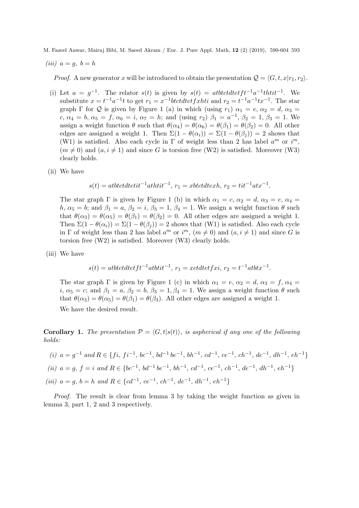$$
(iii) a = g, b = h
$$

*Proof.* A new generator x will be introduced to obtain the presentation  $Q = \langle G, t, x|r_1, r_2 \rangle$ .

- (i) Let  $a = g^{-1}$ . The relator  $s(t)$  is given by  $s(t) = antb t c t d t e f t^{-1} a^{-1} th t i t^{-1}$ . We substitute  $x = t^{-1}a^{-1}t$  to get  $r_1 = x^{-1}b t c t dt e t f x h t i$  and  $r_2 = t^{-1}a^{-1}tx^{-1}$ . The star graph  $\Gamma$  for  $\mathcal Q$  is given by Figure 1 (a) in which (using  $r_1$ )  $\alpha_1 = e, \alpha_2 = d, \alpha_3 = 0$ c,  $\alpha_4 = b$ ,  $\alpha_5 = f$ ,  $\alpha_6 = i$ ,  $\alpha_7 = h$ ; and (using  $r_2$ )  $\beta_1 = a^{-1}$ ,  $\beta_2 = 1$ ,  $\beta_3 = 1$ . We assign a weight function  $\theta$  such that  $\theta(\alpha_4) = \theta(\alpha_6) = \theta(\beta_1) = \theta(\beta_2) = 0$ . All other edges are assigned a weight 1. Then  $\Sigma(1 - \theta(\alpha_i)) = \Sigma(1 - \theta(\beta_i)) = 2$  shows that (W1) is satisfied. Also each cycle in  $\Gamma$  of weight less than 2 has label  $a^m$  or  $i^m$ ,  $(m \neq 0)$  and  $(a, i \neq 1)$  and since G is torsion free (W2) is satisfied. Moreover (W3) clearly holds.
- (ii) We have

$$
s(t) = atbtctdt \cdot t^{-1} ath t \cdot t^{-1}, \, r_1 = xbtctdt \cdot xh, \, r_2 = t \cdot t^{-1} at x^{-1}
$$

.

The star graph  $\Gamma$  is given by Figure 1 (b) in which  $\alpha_1 = c$ ,  $\alpha_2 = d$ ,  $\alpha_3 = e$ ,  $\alpha_4 =$ h,  $\alpha_5 = b$ ; and  $\beta_1 = a$ ,  $\beta_2 = i$ ,  $\beta_3 = 1$ ,  $\beta_4 = 1$ . We assign a weight function  $\theta$  such that  $\theta(\alpha_3) = \theta(\alpha_5) = \theta(\beta_1) = \theta(\beta_2) = 0$ . All other edges are assigned a weight 1. Then  $\Sigma(1 - \theta(\alpha_i)) = \Sigma(1 - \theta(\beta_i)) = 2$  shows that (W1) is satisfied. Also each cycle in  $\Gamma$  of weight less than 2 has label  $a^m$  or  $i^m$ ,  $(m \neq 0)$  and  $(a, i \neq 1)$  and since G is torsion free (W2) is satisfied. Moreover (W3) clearly holds.

(iii) We have

$$
s(t) = atbtctdt t f t^{-1} atbtit^{-1}, r_1 = xctdt e t f xi, r_2 = t^{-1} atbtx^{-1}.
$$

The star graph  $\Gamma$  is given by Figure 1 (c) in which  $\alpha_1 = e, \alpha_2 = d, \alpha_3 = f, \alpha_4 =$ i,  $\alpha_5 = c$ ; and  $\beta_1 = a$ ,  $\beta_2 = b$ ,  $\beta_3 = 1$ ,  $\beta_4 = 1$ . We assign a weight function  $\theta$  such that  $\theta(\alpha_3) = \theta(\alpha_5) = \theta(\beta_1) = \theta(\beta_3)$ . All other edges are assigned a weight 1.

We have the desired result.

**Corollary 1.** The presentation  $P = \langle G, t | s(t) \rangle$ , is aspherical if any one of the following holds:

(i) 
$$
a = g^{-1}
$$
 and  $R \in \{fi, fi^{-1}, bc^{-1}, bd^{-1}be^{-1}, bh^{-1}, cd^{-1}, ce^{-1}, ch^{-1}, de^{-1}, dh^{-1}, eh^{-1}\}$   
\n(ii)  $a = g, f = i$  and  $R \in \{bc^{-1}, bd^{-1}be^{-1}, bh^{-1}, cd^{-1}, ce^{-1}, ch^{-1}, de^{-1}, dh^{-1}, eh^{-1}\}$   
\n(iii)  $a = g, b = h$  and  $R \in \{cd^{-1}, ce^{-1}, ch^{-1}, de^{-1}, dh^{-1}, eh^{-1}\}$ 

Proof. The result is clear from lemma 3 by taking the weight function as given in lemma 3, part 1, 2 and 3 respectively.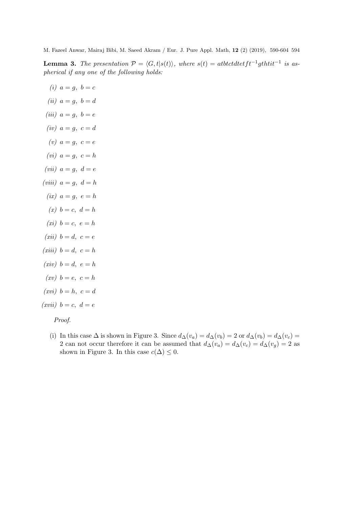**Lemma 3.** The presentation  $\mathcal{P} = \langle G, t | s(t) \rangle$ , where  $s(t) = \text{atbtctdt} t t^{-1} \text{g} t \text{h} t \text{t} t^{-1}$  is aspherical if any one of the following holds:

- (i)  $a = g, b = c$
- (ii)  $a = g, b = d$
- (iii)  $a = g, b = e$
- (iv)  $a = g, c = d$
- $(v)$   $a = q, c = e$
- $(vi)$   $a = q, c = h$
- (vii)  $a = q, d = e$
- (*viii*)  $a = q, d = h$
- $(ix)$   $a = q, e = h$
- $(x)$   $b = c$ ,  $d = h$
- $(xi)$   $b = c, e = h$
- $(xii)$   $b = d$ ,  $c = e$
- $(xiii)$   $b = d$ ,  $c = h$
- $(xiv)$   $b = d, e = h$
- $(xv)$   $b = e, c = h$
- $(xvi)$   $b = h, c = d$
- $(xvii)$   $b = c, d = e$

Proof.

(i) In this case  $\Delta$  is shown in Figure 3. Since  $d_{\Delta}(v_a) = d_{\Delta}(v_b) = 2$  or  $d_{\Delta}(v_b) = d_{\Delta}(v_c) =$ 2 can not occur therefore it can be assumed that  $d_{\Delta}(v_a) = d_{\Delta}(v_c) = d_{\Delta}(v_g) = 2$  as shown in Figure 3. In this case  $c(\Delta) \leq 0$ .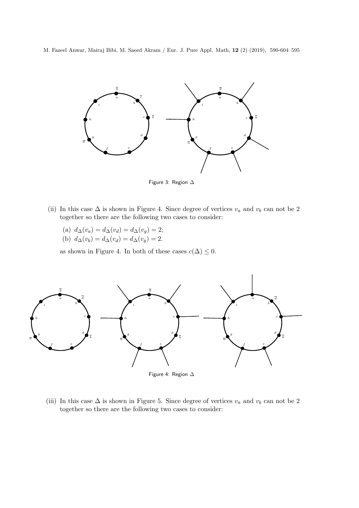

Figure 3: Region ∆

- (ii) In this case  $\Delta$  is shown in Figure 4. Since degree of vertices  $v_a$  and  $v_b$  can not be 2 together so there are the following two cases to consider:
	- (a)  $d_{\Delta}(v_a) = d_{\Delta}(v_d) = d_{\Delta}(v_g) = 2;$ (b)  $d_{\Delta}(v_b) = d_{\Delta}(v_d) = d_{\Delta}(v_g) = 2.$

as shown in Figure 4. In both of these cases  $c(\Delta) \leq 0$ .



(iii) In this case  $\Delta$  is shown in Figure 5. Since degree of vertices  $v_a$  and  $v_b$  can not be 2 together so there are the following two cases to consider: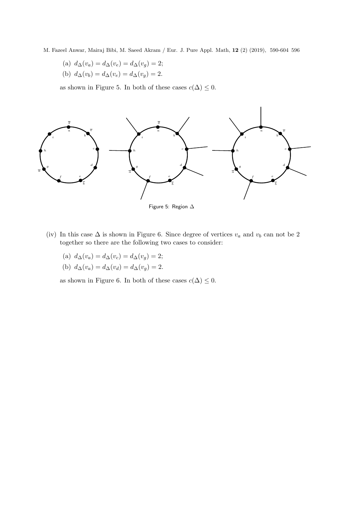- M. Fazeel Anwar, Mairaj Bibi, M. Saeed Akram / Eur. J. Pure Appl. Math, 12 (2) (2019), 590-604 596
	- (a)  $d_{\Delta}(v_a) = d_{\Delta}(v_e) = d_{\Delta}(v_g) = 2;$
	- (b)  $d_{\Delta}(v_b) = d_{\Delta}(v_e) = d_{\Delta}(v_g) = 2.$

as shown in Figure 5. In both of these cases  $c(\Delta) \leq 0.$ 



- Figure 5: Region ∆
- (iv) In this case  $\Delta$  is shown in Figure 6. Since degree of vertices  $v_a$  and  $v_b$  can not be 2 together so there are the following two cases to consider:
	- (a)  $d_{\Delta}(v_a) = d_{\Delta}(v_c) = d_{\Delta}(v_q) = 2;$
	- (b)  $d_{\Delta}(v_a) = d_{\Delta}(v_d) = d_{\Delta}(v_g) = 2.$

as shown in Figure 6. In both of these cases  $c(\Delta) \leq 0$ .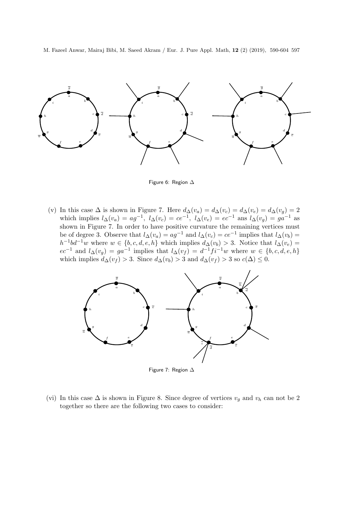

Figure 6: Region ∆

(v) In this case  $\Delta$  is shown in Figure 7. Here  $d_{\Delta}(v_a) = d_{\Delta}(v_c) = d_{\Delta}(v_e) = d_{\Delta}(v_g) = 2$ which implies  $l_{\Delta}(v_a) = ag^{-1}$ ,  $l_{\Delta}(v_c) = ce^{-1}$ ,  $l_{\Delta}(v_e) = ec^{-1}$  ans  $l_{\Delta}(v_g) = ga^{-1}$  as shown in Figure 7. In order to have positive curvature the remaining vertices must be of degree 3. Observe that  $l_{\Delta}(v_a) = ag^{-1}$  and  $l_{\Delta}(v_c) = ce^{-1}$  implies that  $l_{\Delta}(v_b) =$  $h^{-1}bd^{-1}w$  where  $w \in \{b, c, d, e, h\}$  which implies  $d_{\Delta}(v_b) > 3$ . Notice that  $l_{\Delta}(v_e) =$  $ec^{-1}$  and  $l_{\Delta}(v_g) = ga^{-1}$  implies that  $l_{\Delta}(v_f) = d^{-1}f i^{-1}w$  where  $w \in \{b, c, d, e, h\}$ which implies  $d_{\Delta}(v_f) > 3$ . Since  $d_{\Delta}(v_b) > 3$  and  $d_{\Delta}(v_f) > 3$  so  $c(\Delta) \leq 0$ .



Figure 7: Region ∆

(vi) In this case  $\Delta$  is shown in Figure 8. Since degree of vertices  $v_q$  and  $v_h$  can not be 2 together so there are the following two cases to consider: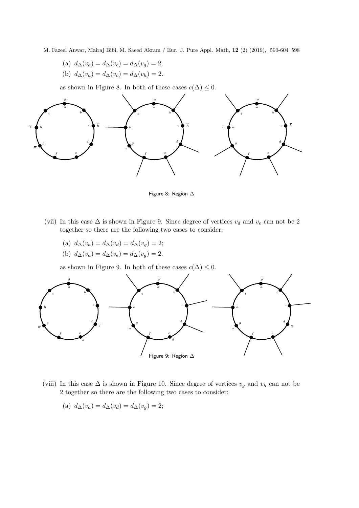- M. Fazeel Anwar, Mairaj Bibi, M. Saeed Akram / Eur. J. Pure Appl. Math, 12 (2) (2019), 590-604 598
	- (a)  $d_{\Delta}(v_a) = d_{\Delta}(v_c) = d_{\Delta}(v_q) = 2;$ (b)  $d_{\Delta}(v_a) = d_{\Delta}(v_c) = d_{\Delta}(v_h) = 2.$

as shown in Figure 8. In both of these cases  $c(\Delta) \leq 0$ .



Figure 8: Region ∆

- (vii) In this case  $\Delta$  is shown in Figure 9. Since degree of vertices  $v_d$  and  $v_e$  can not be 2 together so there are the following two cases to consider:
	- (a)  $d_{\Delta}(v_a) = d_{\Delta}(v_d) = d_{\Delta}(v_g) = 2;$
	- (b)  $d_{\Delta}(v_a) = d_{\Delta}(v_e) = d_{\Delta}(v_g) = 2.$

as shown in Figure 9. In both of these cases  $c(\Delta) \leq 0$ .



- (viii) In this case  $\Delta$  is shown in Figure 10. Since degree of vertices  $v_g$  and  $v_h$  can not be 2 together so there are the following two cases to consider:
	- (a)  $d_{\Delta}(v_a) = d_{\Delta}(v_d) = d_{\Delta}(v_g) = 2;$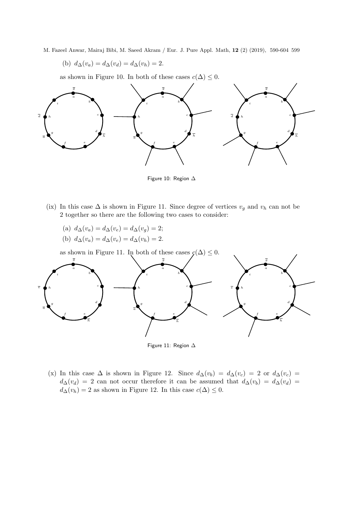(b) 
$$
d_{\Delta}(v_a) = d_{\Delta}(v_d) = d_{\Delta}(v_h) = 2.
$$

as shown in Figure 10. In both of these cases  $c(\Delta) \leq 0$ .



Figure 10: Region ∆

- (ix) In this case  $\Delta$  is shown in Figure 11. Since degree of vertices  $v_g$  and  $v_h$  can not be 2 together so there are the following two cases to consider:
	- (a)  $d_{\Delta}(v_a) = d_{\Delta}(v_e) = d_{\Delta}(v_q) = 2;$ (b)  $d_{\Delta}(v_a) = d_{\Delta}(v_e) = d_{\Delta}(v_h) = 2.$

as shown in Figure 11. In both of these cases  $\mathcal{C}(\Delta) \leq 0$ .



Figure 11: Region ∆

(x) In this case  $\Delta$  is shown in Figure 12. Since  $d_{\Delta}(v_b) = d_{\Delta}(v_c) = 2$  or  $d_{\Delta}(v_c) =$  $d_{\Delta}(v_d) = 2$  can not occur therefore it can be assumed that  $d_{\Delta}(v_b) = d_{\Delta}(v_d) =$  $d_{\Delta}(v_h) = 2$  as shown in Figure 12. In this case  $c(\Delta) \leq 0$ .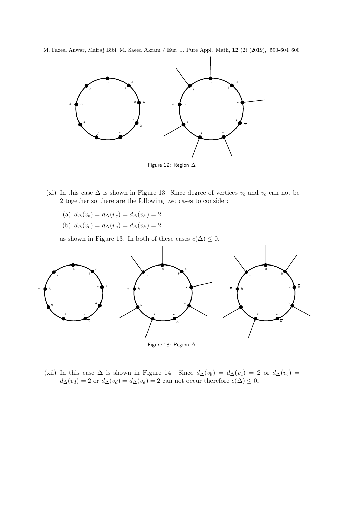

- (xi) In this case  $\Delta$  is shown in Figure 13. Since degree of vertices  $v_b$  and  $v_c$  can not be 2 together so there are the following two cases to consider:
	- (a)  $d_{\Delta}(v_b) = d_{\Delta}(v_e) = d_{\Delta}(v_h) = 2;$
	- (b)  $d_{\Delta}(v_c) = d_{\Delta}(v_e) = d_{\Delta}(v_h) = 2.$

as shown in Figure 13. In both of these cases  $c(\Delta) \leq 0$ .



- Figure 13: Region ∆
- (xii) In this case  $\Delta$  is shown in Figure 14. Since  $d_{\Delta}(v_b) = d_{\Delta}(v_c) = 2$  or  $d_{\Delta}(v_c) =$  $d_{\Delta}(v_d) = 2$  or  $d_{\Delta}(v_d) = d_{\Delta}(v_e) = 2$  can not occur therefore  $c(\Delta) \leq 0$ .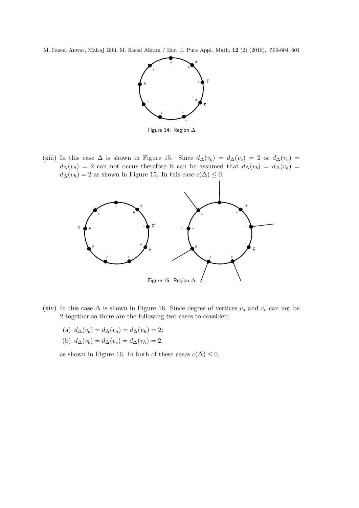

Figure 14: Region ∆

(xiii) In this case  $\Delta$  is shown in Figure 15. Since  $d_{\Delta}(v_b) = d_{\Delta}(v_c) = 2$  or  $d_{\Delta}(v_c) =$  $d_{\Delta}(v_d) = 2$  can not occur therefore it can be assumed that  $d_{\Delta}(v_b) = d_{\Delta}(v_d)$  $d_{\Delta}(v_h) = 2$  as shown in Figure 15. In this case  $c(\Delta) \leq 0$ .



- (xiv) In this case  $\Delta$  is shown in Figure 16. Since degree of vertices  $v_d$  and  $v_e$  can not be 2 together so there are the following two cases to consider:
	- (a)  $d_{\Delta}(v_b) = d_{\Delta}(v_d) = d_{\Delta}(v_h) = 2;$
	- (b)  $d_{\Delta}(v_b) = d_{\Delta}(v_e) = d_{\Delta}(v_h) = 2.$

as shown in Figure 16. In both of these cases  $c(\Delta) \leq 0$ .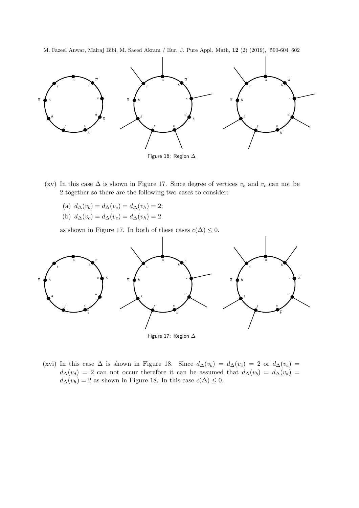

- (xv) In this case  $\Delta$  is shown in Figure 17. Since degree of vertices  $v_b$  and  $v_c$  can not be 2 together so there are the following two cases to consider:
	- (a)  $d_{\Delta}(v_b) = d_{\Delta}(v_e) = d_{\Delta}(v_h) = 2;$
	- (b)  $d_{\Delta}(v_c) = d_{\Delta}(v_e) = d_{\Delta}(v_h) = 2.$

as shown in Figure 17. In both of these cases  $c(\Delta) \leq 0$ .



Figure 17: Region ∆

(xvi) In this case  $\Delta$  is shown in Figure 18. Since  $d_{\Delta}(v_b) = d_{\Delta}(v_c) = 2$  or  $d_{\Delta}(v_c) =$  $d\Delta(v_d) = 2$  can not occur therefore it can be assumed that  $d\Delta(v_b) = d\Delta(v_d) =$  $d_{\Delta}(v_h) = 2$  as shown in Figure 18. In this case  $c(\Delta) \leq 0$ .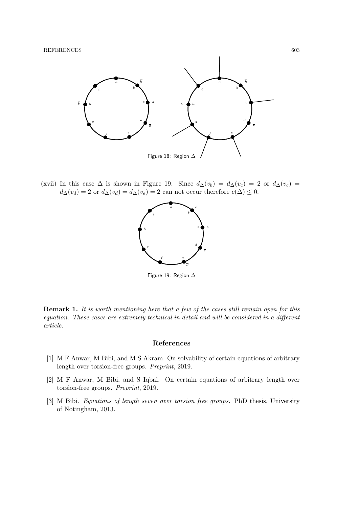

(xvii) In this case  $\Delta$  is shown in Figure 19. Since  $d_{\Delta}(v_b) = d_{\Delta}(v_c) = 2$  or  $d_{\Delta}(v_c) =$  $d_{\Delta}(v_d) = 2$  or  $d_{\Delta}(v_d) = d_{\Delta}(v_e) = 2$  can not occur therefore  $c(\Delta) \leq 0$ .



Figure 19: Region ∆

**Remark 1.** It is worth mentioning here that a few of the cases still remain open for this equation. These cases are extremely technical in detail and will be considered in a different article.

#### References

- [1] M F Anwar, M Bibi, and M S Akram. On solvability of certain equations of arbitrary length over torsion-free groups. Preprint, 2019.
- [2] M F Anwar, M Bibi, and S Iqbal. On certain equations of arbitrary length over torsion-free groups. Preprint, 2019.
- [3] M Bibi. Equations of length seven over torsion free groups. PhD thesis, University of Notingham, 2013.